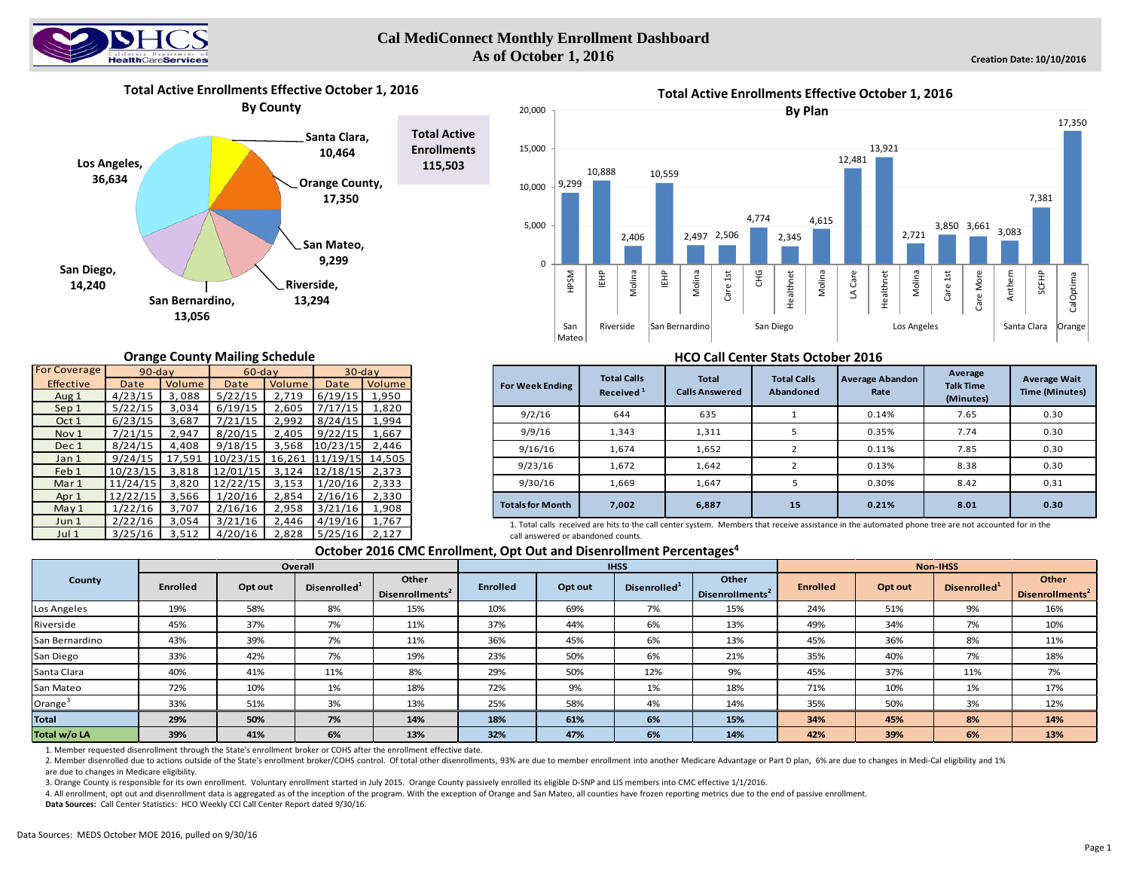

### **Cal MediConnect Monthly Enrollment Dashboard As of October 1, 2016**

7,381

SCFHP

CalOptima

17,350



#### **Orange County Mailing Schedule**

| <b>For Coverage</b> | $90$ -day |        | $60$ -day |        | $30$ -day |        |  |
|---------------------|-----------|--------|-----------|--------|-----------|--------|--|
| <b>Effective</b>    | Date      | Volume | Date      | Volume | Date      | Volume |  |
| Aug 1               | 4/23/15   | 3,088  | 5/22/15   | 2,719  | 6/19/15   | 1,950  |  |
| Sep 1               | 5/22/15   | 3,034  | 6/19/15   | 2,605  | 7/17/15   | 1,820  |  |
| Oct 1               | 6/23/15   | 3,687  | 7/21/15   | 2,992  | 8/24/15   | 1,994  |  |
| Nov <sub>1</sub>    | 7/21/15   | 2,947  | 8/20/15   | 2,405  | 9/22/15   | 1,667  |  |
| Dec 1               | 8/24/15   | 4,408  | 9/18/15   | 3,568  | 10/23/15  | 2,446  |  |
| Jan <sub>1</sub>    | 9/24/15   | 17,591 | 10/23/15  | 16,261 | 11/19/15  | 14,505 |  |
| Feb 1               | 10/23/15  | 3,818  | 12/01/15  | 3,124  | 12/18/15  | 2,373  |  |
| Mar 1               | 11/24/15  | 3,820  | 12/22/15  | 3,153  | 1/20/16   | 2,333  |  |
| Apr 1               | 12/22/15  | 3,566  | 1/20/16   | 2,854  | 2/16/16   | 2,330  |  |
| May 1               | 1/22/16   | 3,707  | 2/16/16   | 2,958  | 3/21/16   | 1,908  |  |
| Jun 1               | 2/22/16   | 3,054  | 3/21/16   | 2,446  | 4/19/16   | 1,767  |  |
| Jul 1               | 3/25/16   | 3,512  | 4/20/16   | 2,828  | 5/25/16   | 2,127  |  |

### **HCO Call Center Stats October 2016**

| <b>For Week Ending</b>  | <b>Total Calls</b><br>Received <sup>1</sup> | Total<br><b>Calls Answered</b> | <b>Average Abandon</b><br><b>Total Calls</b><br>Abandoned<br>Rate |       | Average<br><b>Talk Time</b><br>(Minutes) | <b>Average Wait</b><br><b>Time (Minutes)</b> |
|-------------------------|---------------------------------------------|--------------------------------|-------------------------------------------------------------------|-------|------------------------------------------|----------------------------------------------|
| 9/2/16                  | 644                                         | 635                            |                                                                   | 0.14% | 7.65                                     | 0.30                                         |
| 9/9/16                  | 1,343                                       | 1,311                          | 5                                                                 | 0.35% | 7.74                                     | 0.30                                         |
| 9/16/16                 | 1,674                                       | 1,652                          |                                                                   | 0.11% | 7.85                                     | 0.30                                         |
| 9/23/16                 | 1,672                                       | 1,642                          |                                                                   | 0.13% | 8.38                                     | 0.30                                         |
| 9/30/16                 | 1,669                                       | 1,647                          | 5                                                                 | 0.30% | 8.42                                     | 0.31                                         |
| <b>Totals for Month</b> | 7,002                                       | 6,887                          | 15                                                                | 0.21% | 8.01                                     | 0.30                                         |

1. Total calls received are hits to the call center system. Members that receive assistance in the automated phone tree are not accounted for in the call answered or abandoned counts.

#### **October 2016 CMC Enrollment, Opt Out and Disenrollment Percentages4**

|                |          |         | Overall                  |                                      |                 |         | <b>IHSS</b>              |                                      | Non-IHSS        |         |                          |                                      |  |
|----------------|----------|---------|--------------------------|--------------------------------------|-----------------|---------|--------------------------|--------------------------------------|-----------------|---------|--------------------------|--------------------------------------|--|
| County         | Enrolled | Opt out | Disenrolled <sup>1</sup> | Other<br>Disenrollments <sup>2</sup> | <b>Enrolled</b> | Opt out | Disenrolled <sup>1</sup> | Other<br>Disenrollments <sup>2</sup> | <b>Enrolled</b> | Opt out | Disenrolled <sup>1</sup> | Other<br>Disenrollments <sup>2</sup> |  |
| Los Angeles    | 19%      | 58%     | 8%                       | 15%                                  | 10%             | 69%     | 7%                       | 15%                                  | 24%             | 51%     | 9%                       | 16%                                  |  |
| Riverside      | 45%      | 37%     | 7%                       | 11%                                  | 37%             | 44%     | 6%                       | 13%                                  | 49%             | 34%     | 7%                       | 10%                                  |  |
| San Bernardino | 43%      | 39%     | 7%                       | 11%                                  | 36%             | 45%     | 6%                       | 13%                                  | 45%             | 36%     | 8%                       | 11%                                  |  |
| San Diego      | 33%      | 42%     | 7%                       | 19%                                  | 23%             | 50%     | 6%                       | 21%                                  | 35%             | 40%     | 7%                       | 18%                                  |  |
| Santa Clara    | 40%      | 41%     | 11%                      | 8%                                   | 29%             | 50%     | 12%                      | 9%                                   | 45%             | 37%     | 11%                      | 7%                                   |  |
| San Mateo      | 72%      | 10%     | 1%                       | 18%                                  | 72%             | 9%      | 1%                       | 18%                                  | 71%             | 10%     | 1%                       | 17%                                  |  |
| Orange         | 33%      | 51%     | 3%                       | 13%                                  | 25%             | 58%     | 4%                       | 14%                                  | 35%             | 50%     | 3%                       | 12%                                  |  |
| <b>Total</b>   | 29%      | 50%     | 7%                       | 14%                                  | 18%             | 61%     | 6%                       | 15%                                  | 34%             | 45%     | 8%                       | 14%                                  |  |
| Total w/o LA   | 39%      | 41%     | 6%                       | 13%                                  | 32%             | 47%     | 6%                       | 14%                                  | 42%             | 39%     | 6%                       | 13%                                  |  |

1. Member requested disenrollment through the State's enrollment broker or COHS after the enrollment effective date.

2. Member disenrolled due to actions outside of the State's enrollment broker/COHS control. Of total other disenrollments, 93% are due to member enrollment into another Medicare Advantage or Part D plan, 6% are due to chan are due to changes in Medicare eligibility.

3. Orange County is responsible for its own enrollment. Voluntary enrollment started in July 2015. Orange County passively enrolled its eligible D-SNP and LIS members into CMC effective 1/1/2016.

4. All enrollment, opt out and disenrollment data is aggregated as of the inception of the program. With the exception of Orange and San Mateo, all counties have frozen reporting metrics due to the end of passive enrollmen

**Data Sources:** Call Center Statistics: HCO Weekly CCI Call Center Report dated 9/30/16.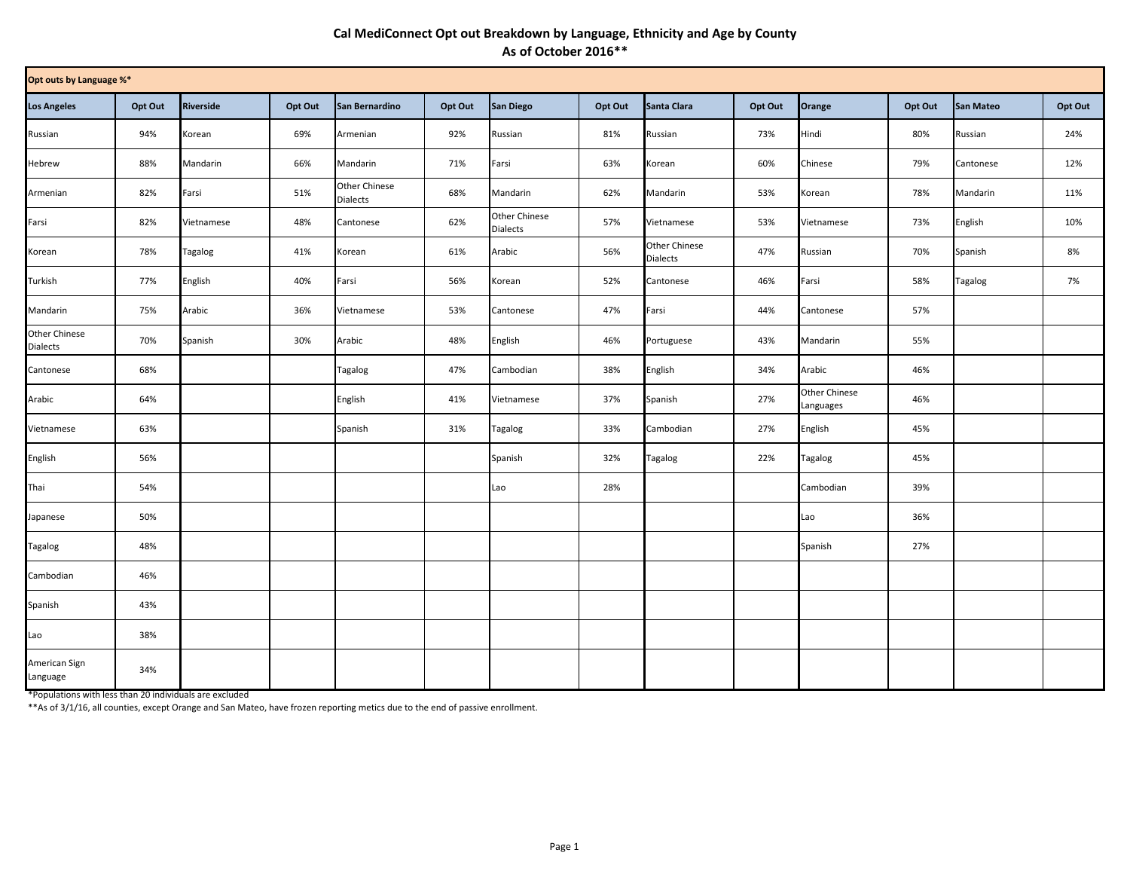# **Cal MediConnect Opt out Breakdown by Language, Ethnicity and Age by County As of October 2016\*\***

|                                  | Opt outs by Language %* |                  |         |                                  |         |                                  |         |                                  |         |                                   |         |                  |         |
|----------------------------------|-------------------------|------------------|---------|----------------------------------|---------|----------------------------------|---------|----------------------------------|---------|-----------------------------------|---------|------------------|---------|
| <b>Los Angeles</b>               | Opt Out                 | <b>Riverside</b> | Opt Out | San Bernardino                   | Opt Out | San Diego                        | Opt Out | Santa Clara                      | Opt Out | Orange                            | Opt Out | <b>San Mateo</b> | Opt Out |
| Russian                          | 94%                     | Korean           | 69%     | Armenian                         | 92%     | Russian                          | 81%     | Russian                          | 73%     | Hindi                             | 80%     | Russian          | 24%     |
| Hebrew                           | 88%                     | Mandarin         | 66%     | Mandarin                         | 71%     | Farsi                            | 63%     | Korean                           | 60%     | Chinese                           | 79%     | Cantonese        | 12%     |
| Armenian                         | 82%                     | Farsi            | 51%     | Other Chinese<br><b>Dialects</b> | 68%     | Mandarin                         | 62%     | Mandarin                         | 53%     | Korean                            | 78%     | Mandarin         | 11%     |
| Farsi                            | 82%                     | Vietnamese       | 48%     | Cantonese                        | 62%     | Other Chinese<br><b>Dialects</b> | 57%     | Vietnamese                       | 53%     | Vietnamese                        | 73%     | English          | 10%     |
| Korean                           | 78%                     | Tagalog          | 41%     | Korean                           | 61%     | Arabic                           | 56%     | Other Chinese<br><b>Dialects</b> | 47%     | Russian                           | 70%     | Spanish          | 8%      |
| Turkish                          | 77%                     | English          | 40%     | Farsi                            | 56%     | Korean                           | 52%     | Cantonese                        | 46%     | Farsi                             | 58%     | Tagalog          | 7%      |
| Mandarin                         | 75%                     | Arabic           | 36%     | Vietnamese                       | 53%     | Cantonese                        | 47%     | Farsi                            | 44%     | Cantonese                         | 57%     |                  |         |
| Other Chinese<br><b>Dialects</b> | 70%                     | Spanish          | 30%     | Arabic                           | 48%     | English                          | 46%     | Portuguese                       | 43%     | Mandarin                          | 55%     |                  |         |
| Cantonese                        | 68%                     |                  |         | Tagalog                          | 47%     | Cambodian                        | 38%     | English                          | 34%     | Arabic                            | 46%     |                  |         |
| Arabic                           | 64%                     |                  |         | English                          | 41%     | Vietnamese                       | 37%     | Spanish                          | 27%     | <b>Other Chinese</b><br>Languages | 46%     |                  |         |
| Vietnamese                       | 63%                     |                  |         | Spanish                          | 31%     | Tagalog                          | 33%     | Cambodian                        | 27%     | English                           | 45%     |                  |         |
| English                          | 56%                     |                  |         |                                  |         | Spanish                          | 32%     | Tagalog                          | 22%     | <b>Tagalog</b>                    | 45%     |                  |         |
| Thai                             | 54%                     |                  |         |                                  |         | Lao                              | 28%     |                                  |         | Cambodian                         | 39%     |                  |         |
| Japanese                         | 50%                     |                  |         |                                  |         |                                  |         |                                  |         | Lao                               | 36%     |                  |         |
| <b>Tagalog</b>                   | 48%                     |                  |         |                                  |         |                                  |         |                                  |         | Spanish                           | 27%     |                  |         |
| Cambodian                        | 46%                     |                  |         |                                  |         |                                  |         |                                  |         |                                   |         |                  |         |
| Spanish                          | 43%                     |                  |         |                                  |         |                                  |         |                                  |         |                                   |         |                  |         |
| Lao                              | 38%                     |                  |         |                                  |         |                                  |         |                                  |         |                                   |         |                  |         |
| American Sign<br>Language        | 34%                     |                  |         |                                  |         |                                  |         |                                  |         |                                   |         |                  |         |

\*Populations with less than 20 individuals are excluded

\*\*As of 3/1/16, all counties, except Orange and San Mateo, have frozen reporting metics due to the end of passive enrollment.